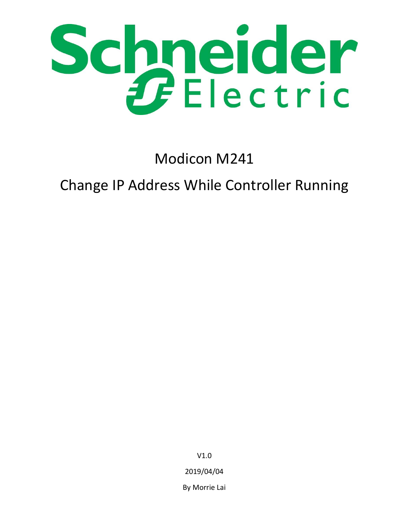

Modicon M241

# Change IP Address While Controller Running

V1.0 2019/04/04 By Morrie Lai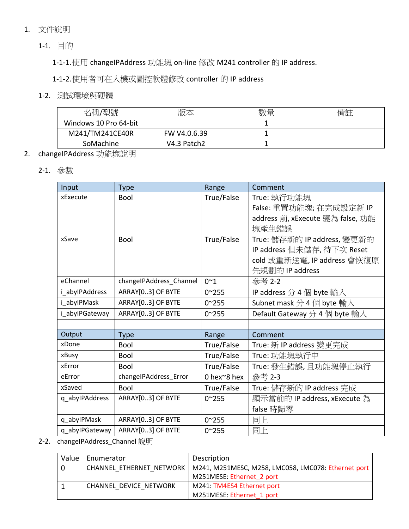# 1. 文件說明

1-1. 目的

1-1-1.使用 changeIPAddress 功能塊 on-line 修改 M241 controller 的 IP address.

1-1-2.使用者可在人機或圖控軟體修改 controller 的 IP address

#### 1-2. 測試環境與硬體

| 名稱/型號                 | 版本           | 數量 | 備註 |
|-----------------------|--------------|----|----|
| Windows 10 Pro 64-bit |              |    |    |
| M241/TM241CE40R       | FW V4.0.6.39 |    |    |
| SoMachine             | V4.3 Patch2  |    |    |

# 2. changeIPAddress 功能塊說明

# 2-1. 參數

| Input          | <b>Type</b>             | Range          | Comment                          |
|----------------|-------------------------|----------------|----------------------------------|
| xExecute       | <b>Bool</b>             | True/False     | True: 執行功能塊                      |
|                |                         |                | False: 重置功能塊; 在完成設定新 IP          |
|                |                         |                | address 前, xExecute 變為 false, 功能 |
|                |                         |                | 塊產牛錯誤                            |
| xSave          | <b>Bool</b>             | True/False     | True: 儲存新的 IP address, 變更新的      |
|                |                         |                | IP address 但未儲存, 待下次 Reset       |
|                |                         |                | cold 或重新送電, IP address 會恢復原      |
|                |                         |                | 先規劃的 IP address                  |
| eChannel       | changeIPAddress_Channel | $0^{\sim}1$    | 參考 2-2                           |
| i abylPAddress | ARRAY[03] OF BYTE       | $0^{\sim}255$  | IP address $\hat{H}$ 4 個 byte 輸入 |
| i abylPMask    | ARRAY[03] OF BYTE       | $0^{\sim}255$  | Subnet mask 分 4 個 byte 輸入        |
| i_abylPGateway | ARRAY[03] OF BYTE       | $0^{\sim}255$  | Default Gateway 分 4 個 byte 輸入    |
|                |                         |                |                                  |
| Output         | <b>Type</b>             | Range          | Comment                          |
| xDone          | <b>Bool</b>             | True/False     | True: 新 IP address 變更完成          |
| xBusy          | <b>Bool</b>             | True/False     | True: 功能塊執行中                     |
| xError         | Bool                    | True/False     | True: 發生錯誤,且功能塊停止執行              |
| eError         | changeIPAddress_Error   | 0 hex~8 hex    | 參考 2-3                           |
| xSaved         | <b>Bool</b>             | True/False     | True: 儲存新的 IP address 完成         |
| q_abylPAddress | ARRAY[03] OF BYTE       | $0^{\sim}255$  | 顯示當前的 IP address, xExecute 為     |
|                |                         |                | false 時歸零                        |
| q_abylPMask    | ARRAY[03] OF BYTE       | $0^{\sim}255$  | 同上                               |
| q_abylPGateway | ARRAY[03] OF BYTE       | $0^{\sim}$ 255 | 同上                               |

# 2-2. changeIPAddress\_Channel 說明

| Value | Enumerator             | Description                                                                    |  |
|-------|------------------------|--------------------------------------------------------------------------------|--|
| - 0   |                        | CHANNEL ETHERNET NETWORK   M241, M251MESC, M258, LMC058, LMC078: Ethernet port |  |
|       |                        | M251MESE: Ethernet 2 port                                                      |  |
|       | CHANNEL DEVICE NETWORK | M241: TM4ES4 Ethernet port                                                     |  |
|       |                        | M251MESE: Ethernet 1 port                                                      |  |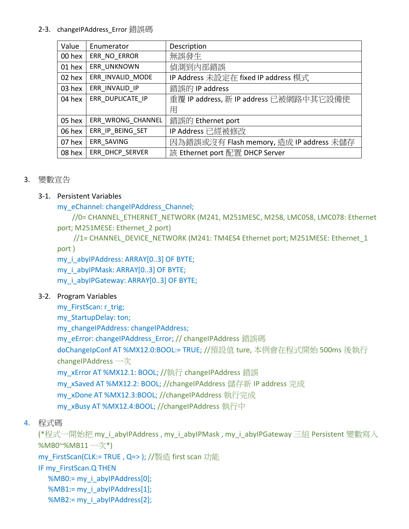#### 2-3. changeIPAddress\_Error 錯誤碼

| Value  | Enumerator        | Description                             |
|--------|-------------------|-----------------------------------------|
| 00 hex | ERR NO ERROR      | 無誤發生                                    |
| 01 hex | ERR UNKNOWN       | 偵測到內部錯誤                                 |
| 02 hex | ERR INVALID MODE  | IP Address 未設定在 fixed IP address 模式     |
| 03 hex | ERR INVALID IP    | 錯誤的 IP address                          |
| 04 hex | ERR DUPLICATE IP  | 重覆 IP address, 新 IP address 已被網路中其它設備使  |
|        |                   | 用                                       |
| 05 hex | ERR WRONG CHANNEL | 錯誤的 Ethernet port                       |
| 06 hex | ERR_IP_BEING_SET  | IP Address 已經被修改                        |
| 07 hex | ERR SAVING        | 因為錯誤或沒有 Flash memory, 造成 IP address 未儲存 |
| 08 hex | ERR DHCP SERVER   | 該 Ethernet port 配置 DHCP Server          |

# 3. 變數宣告

# 3-1. Persistent Variables

my\_eChannel: changeIPAddress\_Channel;

//0= CHANNEL\_ETHERNET\_NETWORK (M241, M251MESC, M258, LMC058, LMC078: Ethernet port; M251MESE: Ethernet\_2 port)

//1= CHANNEL\_DEVICE\_NETWORK (M241: TM4ES4 Ethernet port; M251MESE: Ethernet\_1 port )

my i abyIPAddress: ARRAY[0..3] OF BYTE;

my\_i\_abyIPMask: ARRAY[0..3] OF BYTE;

my\_i\_abyIPGateway: ARRAY[0..3] OF BYTE;

# 3-2. Program Variables

my FirstScan: r\_trig;

my\_StartupDelay: ton;

my\_changeIPAddress: changeIPAddress;

my\_eError: changeIPAddress\_Error; // changeIPAddress 錯誤碼

doChangeIpConf AT %MX12.0:BOOL:= TRUE; //預設值 ture, 本例會在程式開始 500ms 後執行 changeIPAddress 一次

my\_xError AT %MX12.1: BOOL; //執行 changeIPAddress 錯誤

my\_xSaved AT %MX12.2: BOOL; //changeIPAddress 儲存新 IP address 完成

my\_xDone AT %MX12.3:BOOL; //changeIPAddress 執行完成

my\_xBusy AT %MX12.4:BOOL; //changeIPAddress 執行中

# 4. 程式碼

(\*程式一開始把 my\_i\_abyIPAddress , my\_i\_abyIPMask , my\_i\_abyIPGateway 三組 Persistent 變數寫入 %MB0~%MB11  $-\frac{7}{x^*}$ )

my\_FirstScan(CLK:= TRUE , Q=> ); //製造 first scan 功能

IF my\_FirstScan.Q THEN

%MB0:= my\_i\_abyIPAddress[0];

%MB1:= my\_i\_abyIPAddress[1];

%MB2:= my\_i\_abyIPAddress[2];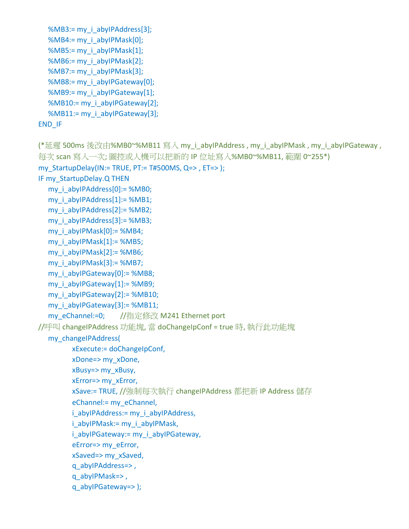```
%MB3:= my_i_abyIPAddress[3];
  %MB4:= my_i_abyIPMask[0];
  %MB5:= my_i_abyIPMask[1];
  %MB6:= my_i_abyIPMask[2];
  %MB7:= my_i_abyIPMask[3];
  %MB8:= my_i_abyIPGateway[0];
  %MB9:= my_i_abyIPGateway[1];
  %MB10:= my_i_abyIPGateway[2];
  %MB11:= my_i_abyIPGateway[3];
END_IF
```

```
(*延遲 500ms 後改由%MB0~%MB11 寫入 my_i_abyIPAddress , my_i_abyIPMask , my_i_abyIPGateway ,
每次 scan 寫入一次; 圖控或人機可以把新的 IP 位址寫入%MB0~%MB11, 範圍 0~255*)
my_StartupDelay(IN:= TRUE, PT:= T#500MS, Q=>, ET=> );
IF my_StartupDelay.Q THEN
  my_i_abyIPAddress[0]:= %MB0;
  my i_abyIPAddress[1]:= %MB1;
  my_i_abyIPAddress[2]:= %MB2;
  my i_abyIPAddress[3]:= %MB3;
  my_i_abyIPMask[0]:= %MB4;
  my i_abyIPMask[1]:= %MB5;
  my i_abyIPMask[2]:= %MB6;
  my i_abyIPMask[3] := %MB7;my i abyIPGateway[0]:= %MB8;
  my i_abyIPGateway[1]:= %MB9;
  my_i_abyIPGateway[2]:= %MB10;
  my_i_abyIPGateway[3]:= %MB11;
  my_eChannel:=0; //指定修改 M241 Ethernet port
//呼叫 changeIPAddress 功能塊, 當 doChangeIpConf = true 時, 執行此功能塊
  my_changeIPAddress(
        xExecute:= doChangeIpConf, 
        xDone=> my_xDone, 
        xBusy=> my_xBusy, 
        xError=> my_xError, 
        xSave:= TRUE, //強制每次執行 changeIPAddress 都把新 IP Address 儲存
        eChannel:= my_eChannel, 
        i_abyIPAddress:= my_i_abyIPAddress,
        i_abyIPMask:= my_i_abyIPMask,
        i_abyIPGateway:= my_i_abyIPGateway,
        eError=> my_eError, 
        xSaved=> my_xSaved,
        q_abyIPAddress=> , 
        q_abyIPMask=> , 
        q_abyIPGateway=> );
```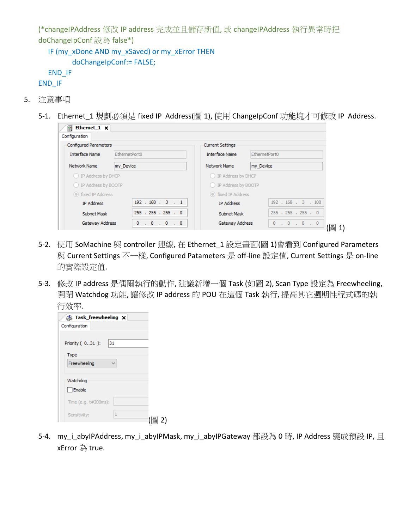(\*changeIPAddress 修改 IP address 完成並且儲存新值, 或 changeIPAddress 執行異常時把 doChangeIpConf 設為 false\*)

```
IF (my_xDone AND my_xSaved) or my_xError THEN
      doChangeIpConf:= FALSE;
END_IF
```

```
END_IF
```
- 5. 注意事項
	- 5-1. Ethernet\_1 規劃必須是 fixed IP Address(圖 1), 使用 ChangeIpConf 功能塊才可修改 IP Address.

| Ethernet <sub>1</sub> $\times$ |                     |                         |                        |
|--------------------------------|---------------------|-------------------------|------------------------|
| Configuration                  |                     |                         |                        |
| <b>Configured Parameters</b>   |                     | <b>Current Settings</b> |                        |
| <b>Interface Name</b>          | EthernetPort0       | <b>Interface Name</b>   | EthernetPort0          |
| Network Name                   | my Device           | Network Name            | my Device              |
| O IP Address by DHCP           |                     | D IP Address by DHCP    |                        |
| ◯ IP Address by BOOTP          |                     | O IP Address by BOOTP   |                        |
| to fixed IP Address            |                     | to fixed IP Address     |                        |
| <b>IP Address</b>              | 192.168.3.1         | <b>IP Address</b>       | 192 . 168 . 3 . 100    |
| <b>Subnet Mask</b>             | 255 . 255 . 255 . 0 | Subnet Mask             | 255 . 255 . 255 . 0    |
| Gateway Address                | . 0 . 0 . 0<br>0    | Gateway Address         | $\circ$<br>. 0 . 0 . 0 |

- 5-2. 使用 SoMachine 與 controller 連線, 在 Ethernet 1 設定畫面(圖 1)會看到 Configured Parameters 與 Current Settings 不一樣, Configured Patameters 是 off-line 設定值, Current Settings 是 on-line 的實際設定值.
- 5-3. 修改 IP address 是偶爾執行的動作, 建議新增一個 Task (如圖 2), Scan Type 設定為 Freewheeling, 開閉 Watchdog 功能, 讓修改 IP address 的 POU 在這個 Task 執行, 提高其它週期性程式碼的執 行效率.

| Task_freewheeling <b>x</b> |  |
|----------------------------|--|
| Configuration              |  |
| Priority (031):<br>31      |  |
| Type                       |  |
| Freewheeling               |  |
| Watchdog<br>Enable         |  |
| Time (e.g. t#200ms):       |  |
| 1<br>Sensitivity:          |  |

5-4. my\_i\_abyIPAddress, my\_i\_abyIPMask, my\_i\_abyIPGateway 都設為 0 時, IP Address 變成預設 IP, 且 xError 為 true.